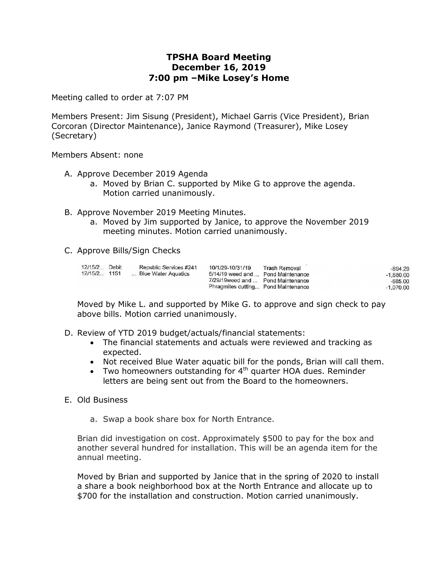## **TPSHA Board Meeting December 16, 2019 7:00 pm –Mike Losey's Home**

Meeting called to order at 7:07 PM

Members Present: Jim Sisung (President), Michael Garris (Vice President), Brian Corcoran (Director Maintenance), Janice Raymond (Treasurer), Mike Losey (Secretary)

Members Absent: none

- A. Approve December 2019 Agenda
	- a. Moved by Brian C. supported by Mike G to approve the agenda. Motion carried unanimously.
- B. Approve November 2019 Meeting Minutes.
	- a. Moved by Jim supported by Janice, to approve the November 2019 meeting minutes. Motion carried unanimously.
- C. Approve Bills/Sign Checks

| <b>Trash Removal</b><br>$-894.29$<br>6/14/19 weed and  Pond Maintenance<br>$-1.880.00$<br>7/29/19 weed and  Pond Maintenance<br>-685.00<br>Phragmites cutting Pond Maintenance<br>$-1.070.00$ |
|-----------------------------------------------------------------------------------------------------------------------------------------------------------------------------------------------|
|                                                                                                                                                                                               |

Moved by Mike L. and supported by Mike G. to approve and sign check to pay above bills. Motion carried unanimously.

- D. Review of YTD 2019 budget/actuals/financial statements:
	- The financial statements and actuals were reviewed and tracking as expected.
	- Not received Blue Water aquatic bill for the ponds, Brian will call them.
	- Two homeowners outstanding for  $4<sup>th</sup>$  quarter HOA dues. Reminder letters are being sent out from the Board to the homeowners.
- E. Old Business
	- a. Swap a book share box for North Entrance.

Brian did investigation on cost. Approximately \$500 to pay for the box and another several hundred for installation. This will be an agenda item for the annual meeting.

Moved by Brian and supported by Janice that in the spring of 2020 to install a share a book neighborhood box at the North Entrance and allocate up to \$700 for the installation and construction. Motion carried unanimously.